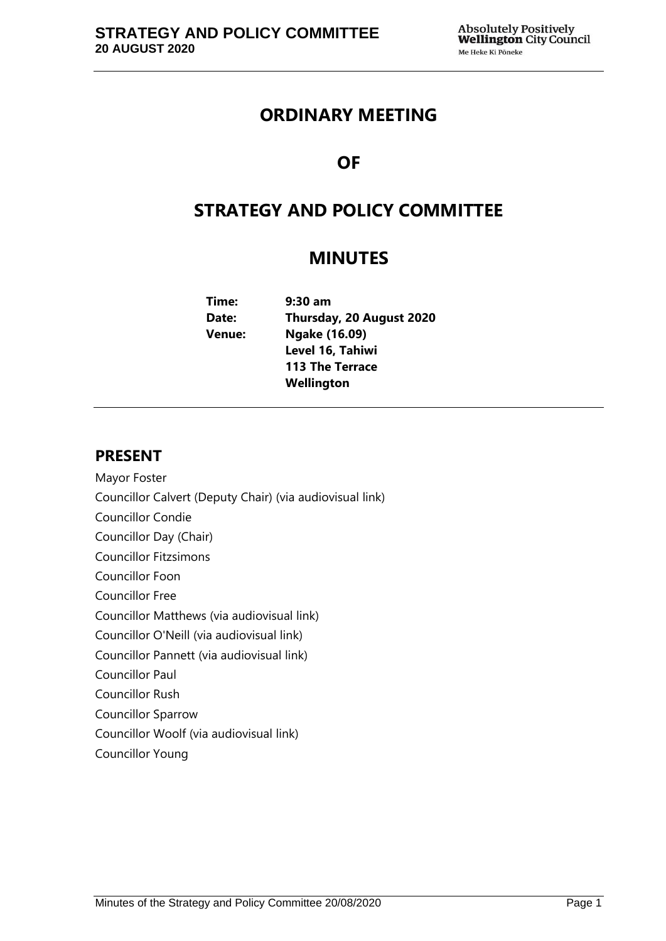## **ORDINARY MEETING**

# **OF**

# **STRATEGY AND POLICY COMMITTEE**

## **MINUTES**

| Time:  | $9:30$ am                |  |
|--------|--------------------------|--|
| Date:  | Thursday, 20 August 2020 |  |
| Venue: | Ngake (16.09)            |  |
|        | Level 16, Tahiwi         |  |
|        | <b>113 The Terrace</b>   |  |
|        | Wellington               |  |
|        |                          |  |

## **PRESENT**

- Mayor Foster
- Councillor Calvert (Deputy Chair) (via audiovisual link)
- Councillor Condie
- Councillor Day (Chair)
- Councillor Fitzsimons
- Councillor Foon
- Councillor Free
- Councillor Matthews (via audiovisual link)
- Councillor O'Neill (via audiovisual link)
- Councillor Pannett (via audiovisual link)
- Councillor Paul
- Councillor Rush
- Councillor Sparrow
- Councillor Woolf (via audiovisual link)
- Councillor Young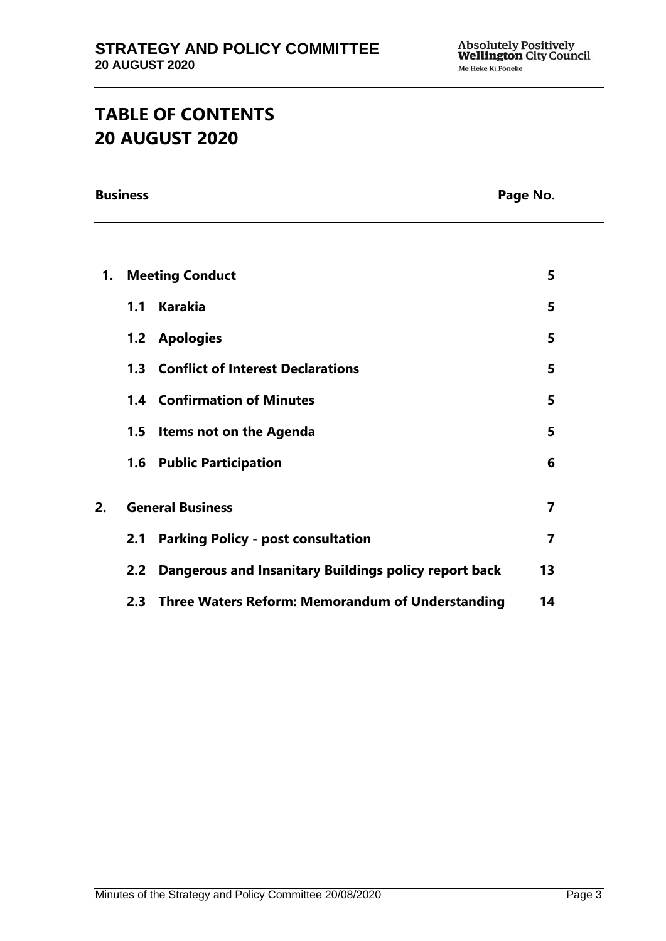# **TABLE OF CONTENTS 20 AUGUST 2020**

**Business Page No.**

| 1. | <b>Meeting Conduct</b>  |                                                       | 5  |
|----|-------------------------|-------------------------------------------------------|----|
|    | 1.1                     | <b>Karakia</b>                                        | 5  |
|    |                         | 1.2 Apologies                                         | 5  |
|    |                         | <b>1.3 Conflict of Interest Declarations</b>          | 5  |
|    |                         | <b>1.4 Confirmation of Minutes</b>                    | 5  |
|    | 1.5                     | Items not on the Agenda                               | 5  |
|    |                         | <b>1.6 Public Participation</b>                       | 6  |
| 2. | <b>General Business</b> |                                                       | 7  |
|    | 2.1                     | <b>Parking Policy - post consultation</b>             | 7  |
|    | 2.2 <sub>2</sub>        | Dangerous and Insanitary Buildings policy report back | 13 |
|    |                         | 2.3 Three Waters Reform: Memorandum of Understanding  | 14 |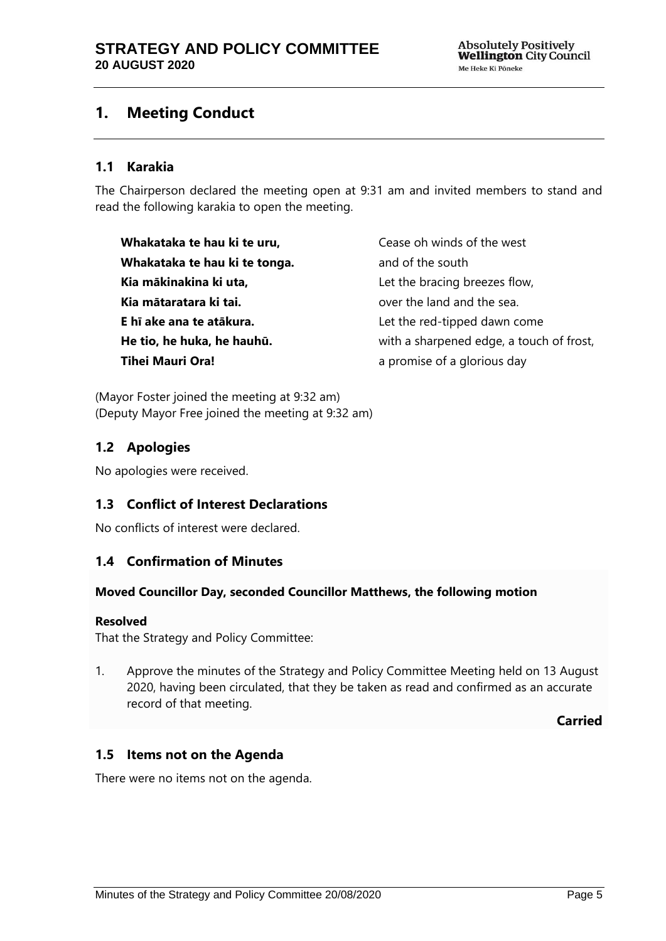## <span id="page-4-0"></span>**1. Meeting Conduct**

## **1.1 Karakia**

The Chairperson declared the meeting open at 9:31 am and invited members to stand and read the following karakia to open the meeting.

**Whakataka te hau ki te uru, Whakataka te hau ki te tonga. Kia mākinakina ki uta, Kia mātaratara ki tai. E hī ake ana te atākura. He tio, he huka, he hauhū. Tihei Mauri Ora!**

Cease oh winds of the west and of the south Let the bracing breezes flow, over the land and the sea. Let the red-tipped dawn come with a sharpened edge, a touch of frost, a promise of a glorious day

(Mayor Foster joined the meeting at 9:32 am) (Deputy Mayor Free joined the meeting at 9:32 am)

## <span id="page-4-1"></span>**1.2 Apologies**

No apologies were received.

## <span id="page-4-2"></span>**1.3 Conflict of Interest Declarations**

No conflicts of interest were declared.

## <span id="page-4-3"></span>**1.4 Confirmation of Minutes**

#### **Moved Councillor Day, seconded Councillor Matthews, the following motion**

#### **Resolved**

That the Strategy and Policy Committee:

1. Approve the minutes of the Strategy and Policy Committee Meeting held on 13 August 2020, having been circulated, that they be taken as read and confirmed as an accurate record of that meeting.

**Carried**

## <span id="page-4-4"></span>**1.5 Items not on the Agenda**

There were no items not on the agenda.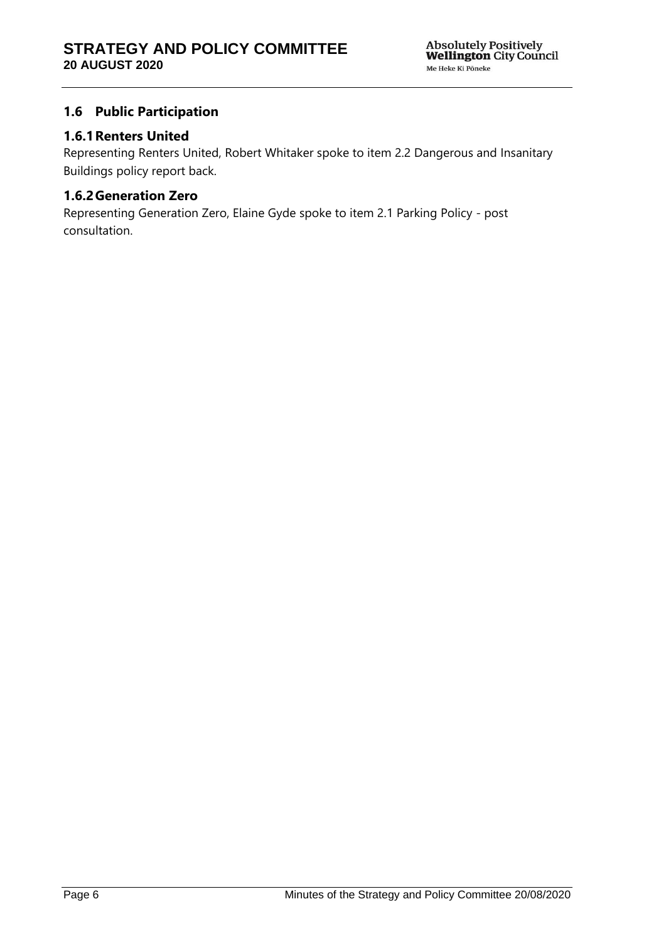## <span id="page-5-0"></span>**1.6 Public Participation**

## **1.6.1Renters United**

Representing Renters United, Robert Whitaker spoke to item 2.2 Dangerous and Insanitary Buildings policy report back.

## **1.6.2Generation Zero**

Representing Generation Zero, Elaine Gyde spoke to item 2.1 Parking Policy - post consultation.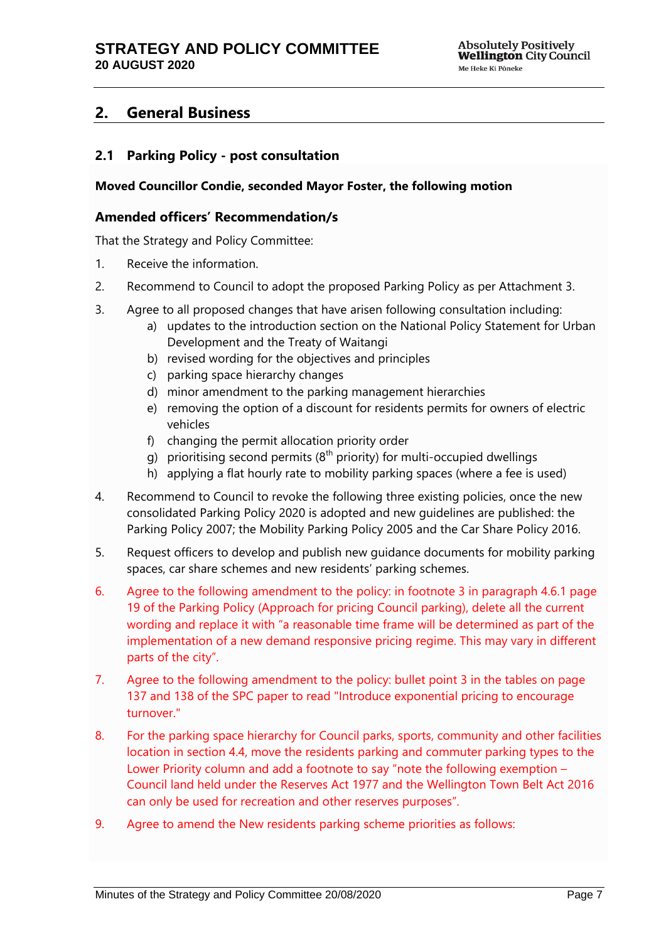## <span id="page-6-0"></span>**2. General Business**

## <span id="page-6-1"></span>**2.1 Parking Policy - post consultation**

#### **Moved Councillor Condie, seconded Mayor Foster, the following motion**

#### **Amended officers' Recommendation/s**

That the Strategy and Policy Committee:

- 1. Receive the information.
- 2. Recommend to Council to adopt the proposed Parking Policy as per Attachment 3.
- 3. Agree to all proposed changes that have arisen following consultation including:
	- a) updates to the introduction section on the National Policy Statement for Urban Development and the Treaty of Waitangi
	- b) revised wording for the objectives and principles
	- c) parking space hierarchy changes
	- d) minor amendment to the parking management hierarchies
	- e) removing the option of a discount for residents permits for owners of electric vehicles
	- f) changing the permit allocation priority order
	- g) prioritising second permits ( $8<sup>th</sup>$  priority) for multi-occupied dwellings
	- h) applying a flat hourly rate to mobility parking spaces (where a fee is used)
- 4. Recommend to Council to revoke the following three existing policies, once the new consolidated Parking Policy 2020 is adopted and new guidelines are published: the Parking Policy 2007; the Mobility Parking Policy 2005 and the Car Share Policy 2016.
- 5. Request officers to develop and publish new guidance documents for mobility parking spaces, car share schemes and new residents' parking schemes.
- 6. Agree to the following amendment to the policy: in footnote 3 in paragraph 4.6.1 page 19 of the Parking Policy (Approach for pricing Council parking), delete all the current wording and replace it with "a reasonable time frame will be determined as part of the implementation of a new demand responsive pricing regime. This may vary in different parts of the city".
- 7. Agree to the following amendment to the policy: bullet point 3 in the tables on page 137 and 138 of the SPC paper to read "Introduce exponential pricing to encourage turnover."
- 8. For the parking space hierarchy for Council parks, sports, community and other facilities location in section 4.4, move the residents parking and commuter parking types to the Lower Priority column and add a footnote to say "note the following exemption – Council land held under the Reserves Act 1977 and the Wellington Town Belt Act 2016 can only be used for recreation and other reserves purposes".
- 9. Agree to amend the New residents parking scheme priorities as follows: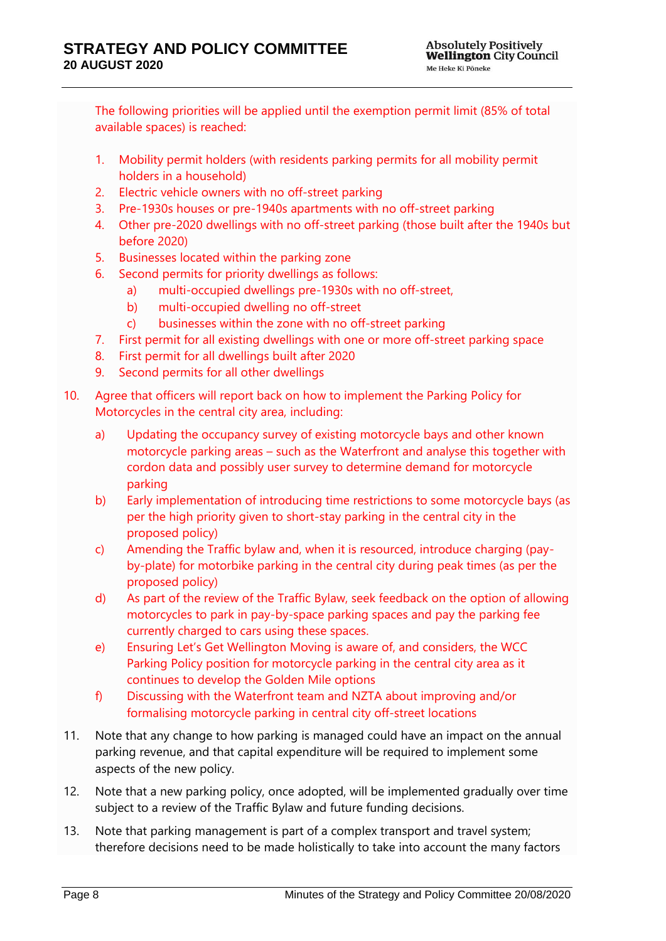The following priorities will be applied until the exemption permit limit (85% of total available spaces) is reached:

- 1. Mobility permit holders (with residents parking permits for all mobility permit holders in a household)
- 2. Electric vehicle owners with no off-street parking
- 3. Pre-1930s houses or pre-1940s apartments with no off-street parking
- 4. Other pre-2020 dwellings with no off-street parking (those built after the 1940s but before 2020)
- 5. Businesses located within the parking zone
- 6. Second permits for priority dwellings as follows:
	- a) multi-occupied dwellings pre-1930s with no off-street,
	- b) multi-occupied dwelling no off-street
	- c) businesses within the zone with no off-street parking
- 7. First permit for all existing dwellings with one or more off-street parking space
- 8. First permit for all dwellings built after 2020
- 9. Second permits for all other dwellings
- 10. Agree that officers will report back on how to implement the Parking Policy for Motorcycles in the central city area, including:
	- a) Updating the occupancy survey of existing motorcycle bays and other known motorcycle parking areas – such as the Waterfront and analyse this together with cordon data and possibly user survey to determine demand for motorcycle parking
	- b) Early implementation of introducing time restrictions to some motorcycle bays (as per the high priority given to short-stay parking in the central city in the proposed policy)
	- c) Amending the Traffic bylaw and, when it is resourced, introduce charging (payby-plate) for motorbike parking in the central city during peak times (as per the proposed policy)
	- d) As part of the review of the Traffic Bylaw, seek feedback on the option of allowing motorcycles to park in pay-by-space parking spaces and pay the parking fee currently charged to cars using these spaces.
	- e) Ensuring Let's Get Wellington Moving is aware of, and considers, the WCC Parking Policy position for motorcycle parking in the central city area as it continues to develop the Golden Mile options
	- f) Discussing with the Waterfront team and NZTA about improving and/or formalising motorcycle parking in central city off-street locations
- 11. Note that any change to how parking is managed could have an impact on the annual parking revenue, and that capital expenditure will be required to implement some aspects of the new policy.
- 12. Note that a new parking policy, once adopted, will be implemented gradually over time subject to a review of the Traffic Bylaw and future funding decisions.
- 13. Note that parking management is part of a complex transport and travel system; therefore decisions need to be made holistically to take into account the many factors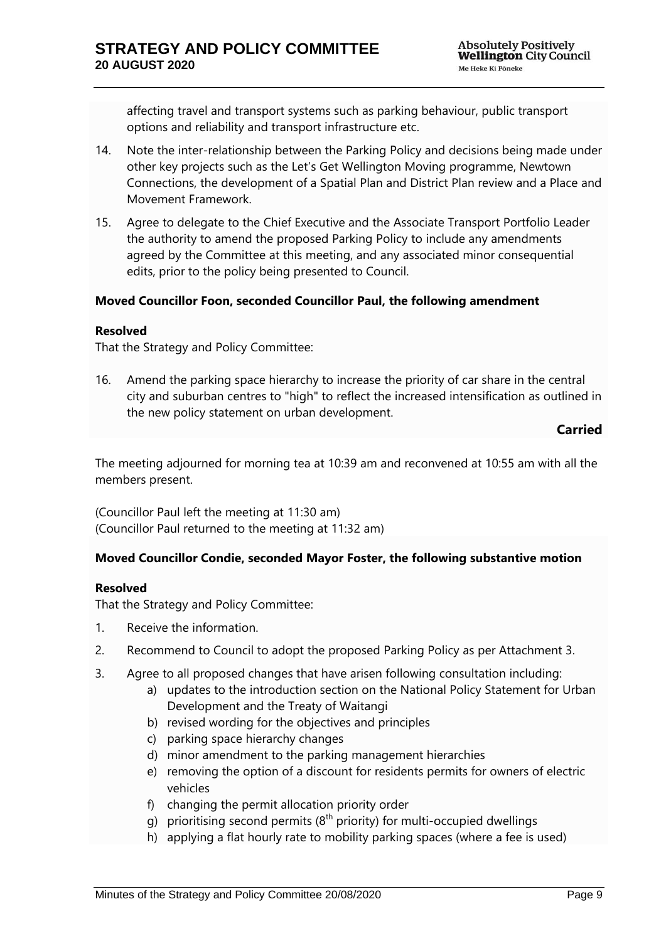affecting travel and transport systems such as parking behaviour, public transport options and reliability and transport infrastructure etc.

- 14. Note the inter-relationship between the Parking Policy and decisions being made under other key projects such as the Let's Get Wellington Moving programme, Newtown Connections, the development of a Spatial Plan and District Plan review and a Place and Movement Framework.
- 15. Agree to delegate to the Chief Executive and the Associate Transport Portfolio Leader the authority to amend the proposed Parking Policy to include any amendments agreed by the Committee at this meeting, and any associated minor consequential edits, prior to the policy being presented to Council.

#### **Moved Councillor Foon, seconded Councillor Paul, the following amendment**

#### **Resolved**

That the Strategy and Policy Committee:

16. Amend the parking space hierarchy to increase the priority of car share in the central city and suburban centres to "high" to reflect the increased intensification as outlined in the new policy statement on urban development.

**Carried**

The meeting adjourned for morning tea at 10:39 am and reconvened at 10:55 am with all the members present.

(Councillor Paul left the meeting at 11:30 am) (Councillor Paul returned to the meeting at 11:32 am)

## **Moved Councillor Condie, seconded Mayor Foster, the following substantive motion**

#### **Resolved**

That the Strategy and Policy Committee:

- 1. Receive the information.
- 2. Recommend to Council to adopt the proposed Parking Policy as per Attachment 3.
- 3. Agree to all proposed changes that have arisen following consultation including:
	- a) updates to the introduction section on the National Policy Statement for Urban Development and the Treaty of Waitangi
	- b) revised wording for the objectives and principles
	- c) parking space hierarchy changes
	- d) minor amendment to the parking management hierarchies
	- e) removing the option of a discount for residents permits for owners of electric vehicles
	- f) changing the permit allocation priority order
	- g) prioritising second permits  $(8<sup>th</sup>$  priority) for multi-occupied dwellings
	- h) applying a flat hourly rate to mobility parking spaces (where a fee is used)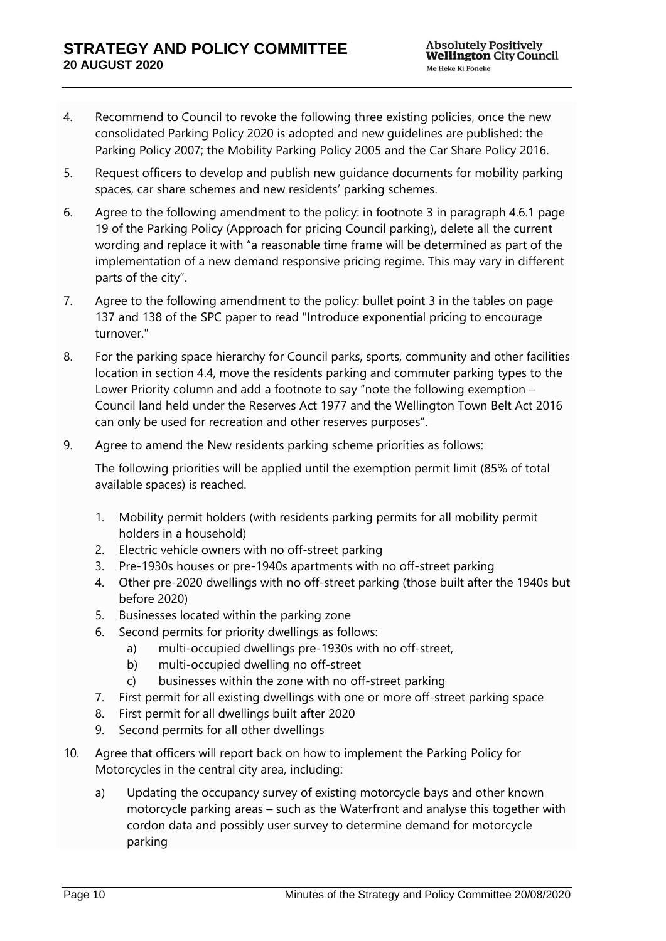- 4. Recommend to Council to revoke the following three existing policies, once the new consolidated Parking Policy 2020 is adopted and new guidelines are published: the Parking Policy 2007; the Mobility Parking Policy 2005 and the Car Share Policy 2016.
- 5. Request officers to develop and publish new guidance documents for mobility parking spaces, car share schemes and new residents' parking schemes.
- 6. Agree to the following amendment to the policy: in footnote 3 in paragraph 4.6.1 page 19 of the Parking Policy (Approach for pricing Council parking), delete all the current wording and replace it with "a reasonable time frame will be determined as part of the implementation of a new demand responsive pricing regime. This may vary in different parts of the city".
- 7. Agree to the following amendment to the policy: bullet point 3 in the tables on page 137 and 138 of the SPC paper to read "Introduce exponential pricing to encourage turnover."
- 8. For the parking space hierarchy for Council parks, sports, community and other facilities location in section 4.4, move the residents parking and commuter parking types to the Lower Priority column and add a footnote to say "note the following exemption – Council land held under the Reserves Act 1977 and the Wellington Town Belt Act 2016 can only be used for recreation and other reserves purposes".
- 9. Agree to amend the New residents parking scheme priorities as follows:

The following priorities will be applied until the exemption permit limit (85% of total available spaces) is reached.

- 1. Mobility permit holders (with residents parking permits for all mobility permit holders in a household)
- 2. Electric vehicle owners with no off-street parking
- 3. Pre-1930s houses or pre-1940s apartments with no off-street parking
- 4. Other pre-2020 dwellings with no off-street parking (those built after the 1940s but before 2020)
- 5. Businesses located within the parking zone
- 6. Second permits for priority dwellings as follows:
	- a) multi-occupied dwellings pre-1930s with no off-street,
	- b) multi-occupied dwelling no off-street
	- c) businesses within the zone with no off-street parking
- 7. First permit for all existing dwellings with one or more off-street parking space
- 8. First permit for all dwellings built after 2020
- 9. Second permits for all other dwellings
- 10. Agree that officers will report back on how to implement the Parking Policy for Motorcycles in the central city area, including:
	- a) Updating the occupancy survey of existing motorcycle bays and other known motorcycle parking areas – such as the Waterfront and analyse this together with cordon data and possibly user survey to determine demand for motorcycle parking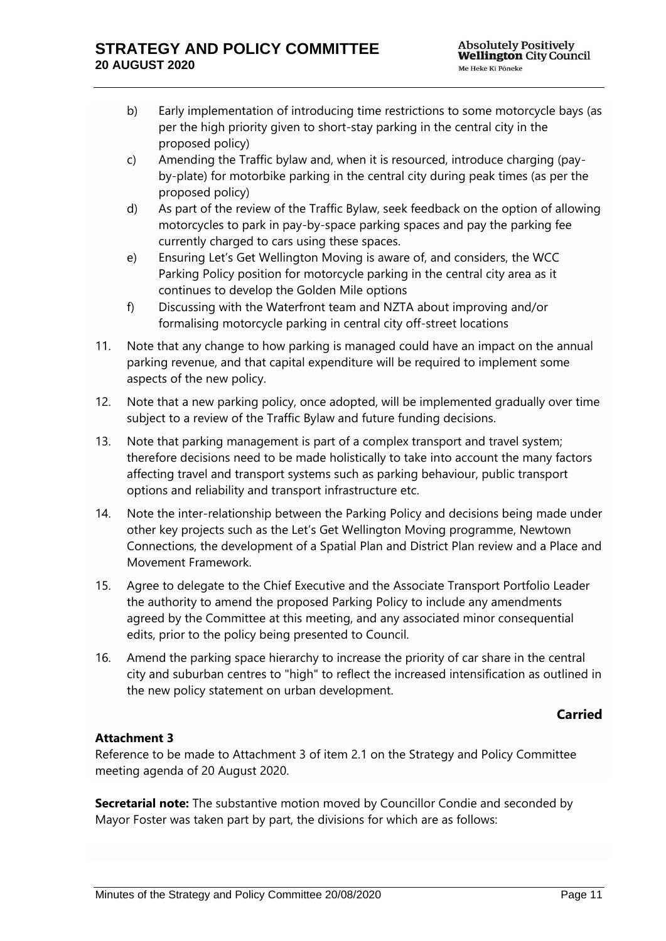- b) Early implementation of introducing time restrictions to some motorcycle bays (as per the high priority given to short-stay parking in the central city in the proposed policy)
- c) Amending the Traffic bylaw and, when it is resourced, introduce charging (payby-plate) for motorbike parking in the central city during peak times (as per the proposed policy)
- d) As part of the review of the Traffic Bylaw, seek feedback on the option of allowing motorcycles to park in pay-by-space parking spaces and pay the parking fee currently charged to cars using these spaces.
- e) Ensuring Let's Get Wellington Moving is aware of, and considers, the WCC Parking Policy position for motorcycle parking in the central city area as it continues to develop the Golden Mile options
- f) Discussing with the Waterfront team and NZTA about improving and/or formalising motorcycle parking in central city off-street locations
- 11. Note that any change to how parking is managed could have an impact on the annual parking revenue, and that capital expenditure will be required to implement some aspects of the new policy.
- 12. Note that a new parking policy, once adopted, will be implemented gradually over time subject to a review of the Traffic Bylaw and future funding decisions.
- 13. Note that parking management is part of a complex transport and travel system; therefore decisions need to be made holistically to take into account the many factors affecting travel and transport systems such as parking behaviour, public transport options and reliability and transport infrastructure etc.
- 14. Note the inter-relationship between the Parking Policy and decisions being made under other key projects such as the Let's Get Wellington Moving programme, Newtown Connections, the development of a Spatial Plan and District Plan review and a Place and Movement Framework.
- 15. Agree to delegate to the Chief Executive and the Associate Transport Portfolio Leader the authority to amend the proposed Parking Policy to include any amendments agreed by the Committee at this meeting, and any associated minor consequential edits, prior to the policy being presented to Council.
- 16. Amend the parking space hierarchy to increase the priority of car share in the central city and suburban centres to "high" to reflect the increased intensification as outlined in the new policy statement on urban development.

## **Carried**

## **Attachment 3**

Reference to be made to Attachment 3 of item 2.1 on the Strategy and Policy Committee meeting agenda of 20 August 2020.

**Secretarial note:** The substantive motion moved by Councillor Condie and seconded by Mayor Foster was taken part by part, the divisions for which are as follows: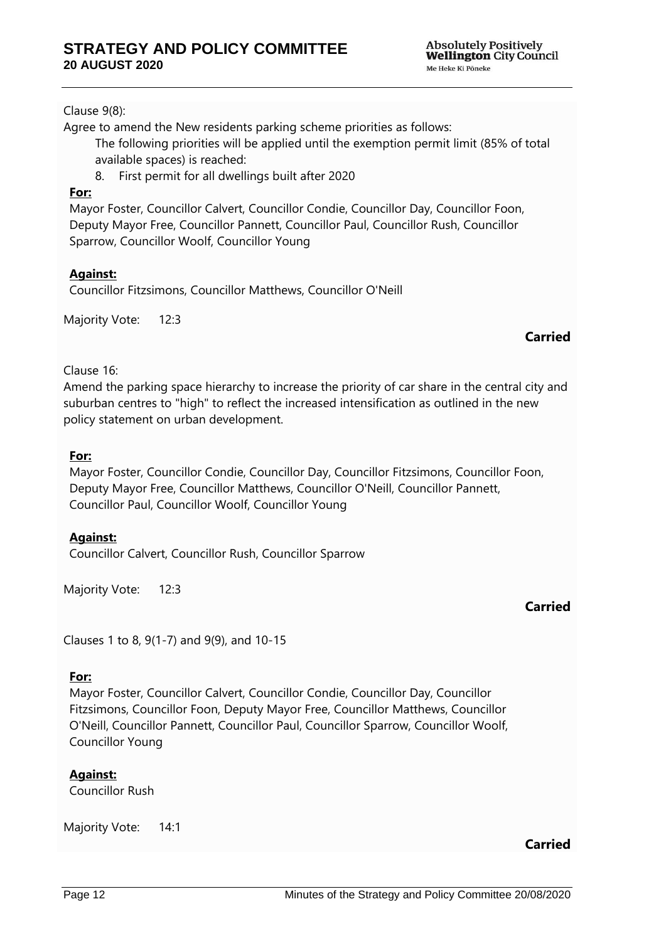**Absolutely Positively Wellington City Council** Me Heke Ki Pöneke

#### Clause 9(8):

Agree to amend the New residents parking scheme priorities as follows:

The following priorities will be applied until the exemption permit limit (85% of total available spaces) is reached:

8. First permit for all dwellings built after 2020

#### **For:**

Mayor Foster, Councillor Calvert, Councillor Condie, Councillor Day, Councillor Foon, Deputy Mayor Free, Councillor Pannett, Councillor Paul, Councillor Rush, Councillor Sparrow, Councillor Woolf, Councillor Young

## **Against:**

Councillor Fitzsimons, Councillor Matthews, Councillor O'Neill

Majority Vote: 12:3

## **Carried**

#### Clause 16:

Amend the parking space hierarchy to increase the priority of car share in the central city and suburban centres to "high" to reflect the increased intensification as outlined in the new policy statement on urban development.

#### **For:**

Mayor Foster, Councillor Condie, Councillor Day, Councillor Fitzsimons, Councillor Foon, Deputy Mayor Free, Councillor Matthews, Councillor O'Neill, Councillor Pannett, Councillor Paul, Councillor Woolf, Councillor Young

## **Against:**

Councillor Calvert, Councillor Rush, Councillor Sparrow

Majority Vote: 12:3

## **Carried**

Clauses 1 to 8, 9(1-7) and 9(9), and 10-15

#### **For:**

Mayor Foster, Councillor Calvert, Councillor Condie, Councillor Day, Councillor Fitzsimons, Councillor Foon, Deputy Mayor Free, Councillor Matthews, Councillor O'Neill, Councillor Pannett, Councillor Paul, Councillor Sparrow, Councillor Woolf, Councillor Young

**Against:**

Councillor Rush

Majority Vote: 14:1

## **Carried**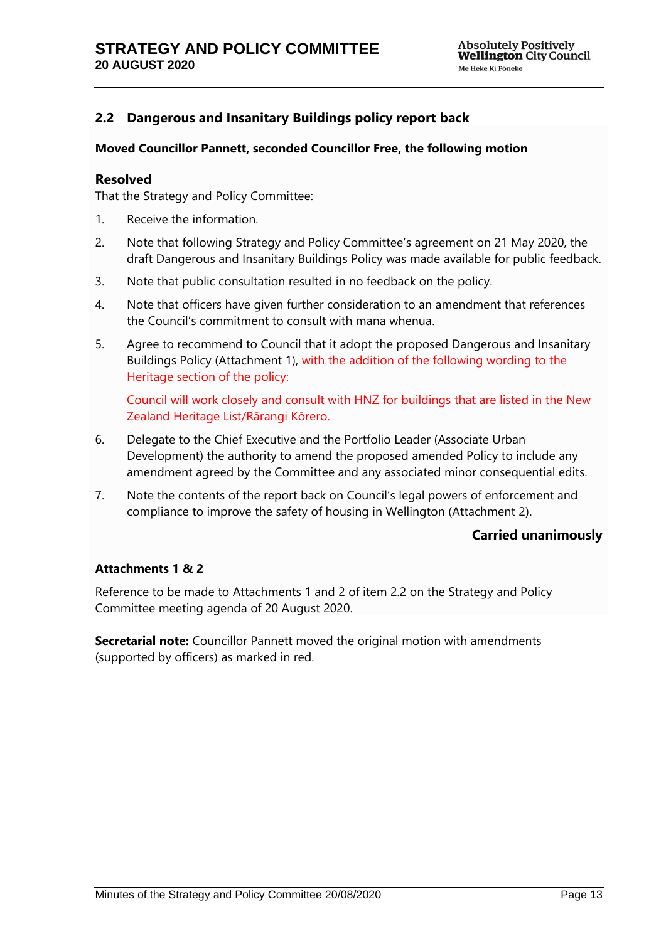## <span id="page-12-0"></span>**2.2 Dangerous and Insanitary Buildings policy report back**

#### **Moved Councillor Pannett, seconded Councillor Free, the following motion**

#### **Resolved**

That the Strategy and Policy Committee:

- 1. Receive the information.
- 2. Note that following Strategy and Policy Committee's agreement on 21 May 2020, the draft Dangerous and Insanitary Buildings Policy was made available for public feedback.
- 3. Note that public consultation resulted in no feedback on the policy.
- 4. Note that officers have given further consideration to an amendment that references the Council's commitment to consult with mana whenua.
- 5. Agree to recommend to Council that it adopt the proposed Dangerous and Insanitary Buildings Policy (Attachment 1), with the addition of the following wording to the Heritage section of the policy:

Council will work closely and consult with HNZ for buildings that are listed in the New Zealand Heritage List/Rārangi Kōrero.

- 6. Delegate to the Chief Executive and the Portfolio Leader (Associate Urban Development) the authority to amend the proposed amended Policy to include any amendment agreed by the Committee and any associated minor consequential edits.
- 7. Note the contents of the report back on Council's legal powers of enforcement and compliance to improve the safety of housing in Wellington (Attachment 2).

### **Carried unanimously**

#### **Attachments 1 & 2**

Reference to be made to Attachments 1 and 2 of item 2.2 on the Strategy and Policy Committee meeting agenda of 20 August 2020.

**Secretarial note:** Councillor Pannett moved the original motion with amendments (supported by officers) as marked in red.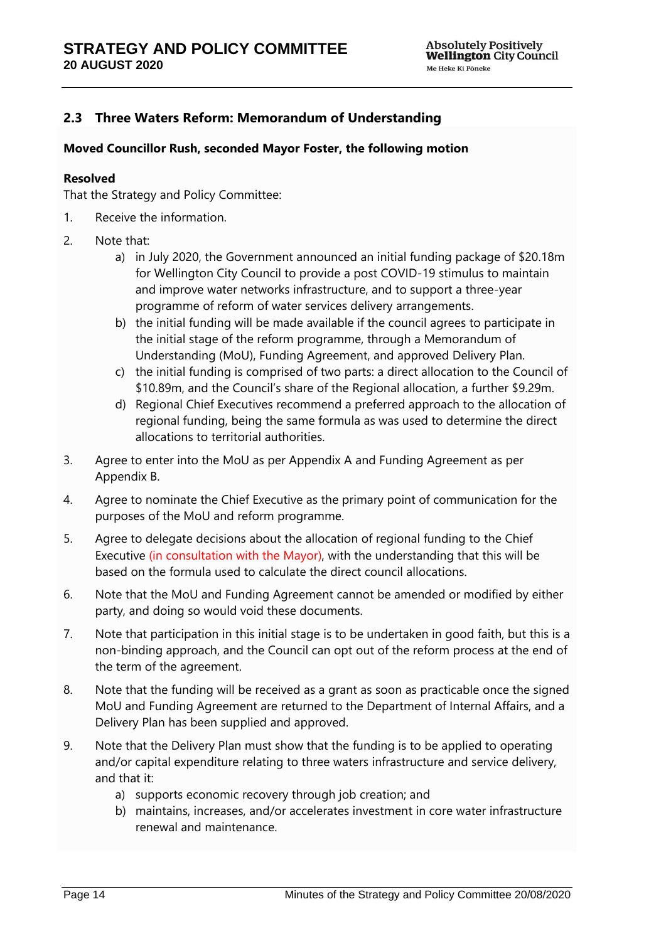## <span id="page-13-0"></span>**2.3 Three Waters Reform: Memorandum of Understanding**

#### **Moved Councillor Rush, seconded Mayor Foster, the following motion**

#### **Resolved**

That the Strategy and Policy Committee:

- 1. Receive the information.
- 2. Note that:
	- a) in July 2020, the Government announced an initial funding package of \$20.18m for Wellington City Council to provide a post COVID-19 stimulus to maintain and improve water networks infrastructure, and to support a three-year programme of reform of water services delivery arrangements.
	- b) the initial funding will be made available if the council agrees to participate in the initial stage of the reform programme, through a Memorandum of Understanding (MoU), Funding Agreement, and approved Delivery Plan.
	- c) the initial funding is comprised of two parts: a direct allocation to the Council of \$10.89m, and the Council's share of the Regional allocation, a further \$9.29m.
	- d) Regional Chief Executives recommend a preferred approach to the allocation of regional funding, being the same formula as was used to determine the direct allocations to territorial authorities.
- 3. Agree to enter into the MoU as per Appendix A and Funding Agreement as per Appendix B.
- 4. Agree to nominate the Chief Executive as the primary point of communication for the purposes of the MoU and reform programme.
- 5. Agree to delegate decisions about the allocation of regional funding to the Chief Executive (in consultation with the Mayor), with the understanding that this will be based on the formula used to calculate the direct council allocations.
- 6. Note that the MoU and Funding Agreement cannot be amended or modified by either party, and doing so would void these documents.
- 7. Note that participation in this initial stage is to be undertaken in good faith, but this is a non-binding approach, and the Council can opt out of the reform process at the end of the term of the agreement.
- 8. Note that the funding will be received as a grant as soon as practicable once the signed MoU and Funding Agreement are returned to the Department of Internal Affairs, and a Delivery Plan has been supplied and approved.
- 9. Note that the Delivery Plan must show that the funding is to be applied to operating and/or capital expenditure relating to three waters infrastructure and service delivery, and that it:
	- a) supports economic recovery through job creation; and
	- b) maintains, increases, and/or accelerates investment in core water infrastructure renewal and maintenance.